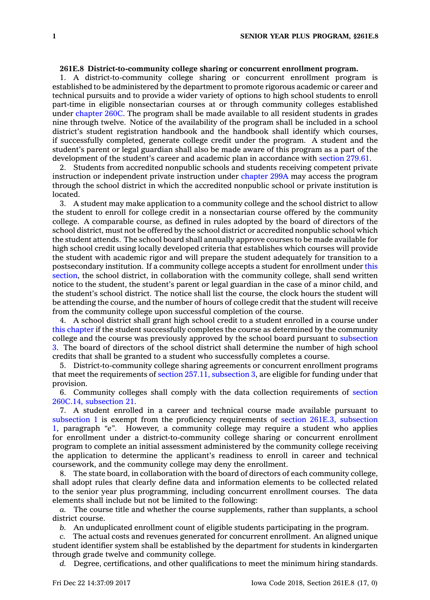## **261E.8 District-to-community college sharing or concurrent enrollment program.**

1. A district-to-community college sharing or concurrent enrollment program is established to be administered by the department to promote rigorous academic or career and technical pursuits and to provide <sup>a</sup> wider variety of options to high school students to enroll part-time in eligible nonsectarian courses at or through community colleges established under [chapter](https://www.legis.iowa.gov/docs/code//260C.pdf) 260C. The program shall be made available to all resident students in grades nine through twelve. Notice of the availability of the program shall be included in <sup>a</sup> school district's student registration handbook and the handbook shall identify which courses, if successfully completed, generate college credit under the program. A student and the student's parent or legal guardian shall also be made aware of this program as <sup>a</sup> part of the development of the student's career and academic plan in accordance with [section](https://www.legis.iowa.gov/docs/code/279.61.pdf) 279.61.

2. Students from accredited nonpublic schools and students receiving competent private instruction or independent private instruction under [chapter](https://www.legis.iowa.gov/docs/code//299A.pdf) 299A may access the program through the school district in which the accredited nonpublic school or private institution is located.

3. A student may make application to <sup>a</sup> community college and the school district to allow the student to enroll for college credit in <sup>a</sup> nonsectarian course offered by the community college. A comparable course, as defined in rules adopted by the board of directors of the school district, must not be offered by the school district or accredited nonpublic school which the student attends. The school board shall annually approve courses to be made available for high school credit using locally developed criteria that establishes which courses will provide the student with academic rigor and will prepare the student adequately for transition to <sup>a</sup> postsecondary institution. If <sup>a</sup> community college accepts <sup>a</sup> student for enrollment under [this](https://www.legis.iowa.gov/docs/code/261E.8.pdf) [section](https://www.legis.iowa.gov/docs/code/261E.8.pdf), the school district, in collaboration with the community college, shall send written notice to the student, the student's parent or legal guardian in the case of <sup>a</sup> minor child, and the student's school district. The notice shall list the course, the clock hours the student will be attending the course, and the number of hours of college credit that the student will receive from the community college upon successful completion of the course.

4. A school district shall grant high school credit to <sup>a</sup> student enrolled in <sup>a</sup> course under this [chapter](https://www.legis.iowa.gov/docs/code//261E.pdf) if the student successfully completes the course as determined by the community college and the course was previously approved by the school board pursuant to [subsection](https://www.legis.iowa.gov/docs/code/261E.8.pdf) [3](https://www.legis.iowa.gov/docs/code/261E.8.pdf). The board of directors of the school district shall determine the number of high school credits that shall be granted to <sup>a</sup> student who successfully completes <sup>a</sup> course.

5. District-to-community college sharing agreements or concurrent enrollment programs that meet the requirements of section 257.11, [subsection](https://www.legis.iowa.gov/docs/code/257.11.pdf) 3, are eligible for funding under that provision.

6. Community colleges shall comply with the data collection requirements of [section](https://www.legis.iowa.gov/docs/code/260C.14.pdf) 260C.14, [subsection](https://www.legis.iowa.gov/docs/code/260C.14.pdf) 21.

7. A student enrolled in <sup>a</sup> career and technical course made available pursuant to [subsection](https://www.legis.iowa.gov/docs/code/261E.8.pdf) 1 is exempt from the proficiency requirements of section 261E.3, [subsection](https://www.legis.iowa.gov/docs/code/261E.3.pdf) [1](https://www.legis.iowa.gov/docs/code/261E.3.pdf), paragraph *"e"*. However, <sup>a</sup> community college may require <sup>a</sup> student who applies for enrollment under <sup>a</sup> district-to-community college sharing or concurrent enrollment program to complete an initial assessment administered by the community college receiving the application to determine the applicant's readiness to enroll in career and technical coursework, and the community college may deny the enrollment.

8. The state board, in collaboration with the board of directors of each community college, shall adopt rules that clearly define data and information elements to be collected related to the senior year plus programming, including concurrent enrollment courses. The data elements shall include but not be limited to the following:

*a.* The course title and whether the course supplements, rather than supplants, <sup>a</sup> school district course.

*b.* An unduplicated enrollment count of eligible students participating in the program.

*c.* The actual costs and revenues generated for concurrent enrollment. An aligned unique student identifier system shall be established by the department for students in kindergarten through grade twelve and community college.

*d.* Degree, certifications, and other qualifications to meet the minimum hiring standards.